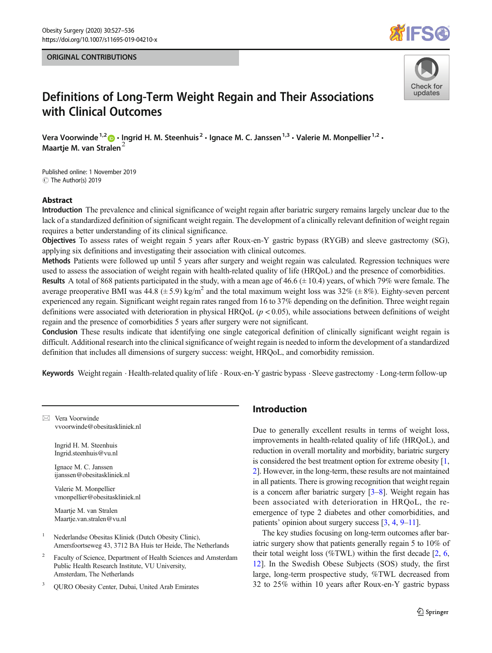#### ORIGINAL CONTRIBUTIONS





# Definitions of Long-Term Weight Regain and Their Associations with Clinical Outcomes

Vera Voorwinde<sup>1,2</sup>  $\cdot$  Ingrid H. M. Steenhuis<sup>2</sup>  $\cdot$  Ignace M. C. Janssen<sup>1,3</sup>  $\cdot$  Valerie M. Monpellier<sup>1,2</sup>  $\cdot$ Maartje M. van Stralen<sup>2</sup>

Published online: 1 November 2019 C The Author(s) 2019

#### Abstract

Introduction The prevalence and clinical significance of weight regain after bariatric surgery remains largely unclear due to the lack of a standardized definition of significant weight regain. The development of a clinically relevant definition of weight regain requires a better understanding of its clinical significance.

Objectives To assess rates of weight regain 5 years after Roux-en-Y gastric bypass (RYGB) and sleeve gastrectomy (SG), applying six definitions and investigating their association with clinical outcomes.

Methods Patients were followed up until 5 years after surgery and weight regain was calculated. Regression techniques were used to assess the association of weight regain with health-related quality of life (HRQoL) and the presence of comorbidities. **Results** A total of 868 patients participated in the study, with a mean age of 46.6  $(\pm 10.4)$  years, of which 79% were female. The average preoperative BMI was 44.8 ( $\pm$  5.9) kg/m<sup>2</sup> and the total maximum weight loss was 32% ( $\pm$  8%). Eighty-seven percent experienced any regain. Significant weight regain rates ranged from 16 to 37% depending on the definition. Three weight regain definitions were associated with deterioration in physical HRQoL  $(p < 0.05)$ , while associations between definitions of weight regain and the presence of comorbidities 5 years after surgery were not significant.

Conclusion These results indicate that identifying one single categorical definition of clinically significant weight regain is difficult. Additional research into the clinical significance of weight regain is needed to inform the development of a standardized definition that includes all dimensions of surgery success: weight, HRQoL, and comorbidity remission.

Keywords Weight regain . Health-related quality of life . Roux-en-Y gastric bypass . Sleeve gastrectomy . Long-term follow-up

 $\boxtimes$  Vera Voorwinde [vvoorwinde@obesitaskliniek.nl](mailto:vvoorwinde@obesitaskliniek.nl)

> Ingrid H. M. Steenhuis Ingrid.steenhuis@vu.nl

Ignace M. C. Janssen ijanssen@obesitaskliniek.nl

Valerie M. Monpellier vmonpellier@obesitaskliniek.nl

Maartje M. van Stralen Maartje.van.stralen@vu.nl

- <sup>1</sup> Nederlandse Obesitas Kliniek (Dutch Obesity Clinic), Amersfoortseweg 43, 3712 BA Huis ter Heide, The Netherlands
- <sup>2</sup> Faculty of Science, Department of Health Sciences and Amsterdam Public Health Research Institute, VU University, Amsterdam, The Netherlands
- <sup>3</sup> QURO Obesity Center, Dubai, United Arab Emirates

## Introduction

Due to generally excellent results in terms of weight loss, improvements in health-related quality of life (HRQoL), and reduction in overall mortality and morbidity, bariatric surgery is considered the best treatment option for extreme obesity [[1,](#page-8-0) [2](#page-8-0)]. However, in the long-term, these results are not maintained in all patients. There is growing recognition that weight regain is a concern after bariatric surgery [\[3](#page-8-0)–[8\]](#page-8-0). Weight regain has been associated with deterioration in HRQoL, the reemergence of type 2 diabetes and other comorbidities, and patients' opinion about surgery success [[3,](#page-8-0) [4,](#page-8-0) [9](#page-8-0)–[11\]](#page-8-0).

The key studies focusing on long-term outcomes after bariatric surgery show that patients generally regain 5 to 10% of their total weight loss (%TWL) within the first decade  $[2, 6, 1]$  $[2, 6, 1]$  $[2, 6, 1]$  $[2, 6, 1]$  $[2, 6, 1]$ [12](#page-8-0)]. In the Swedish Obese Subjects (SOS) study, the first large, long-term prospective study, %TWL decreased from 32 to 25% within 10 years after Roux-en-Y gastric bypass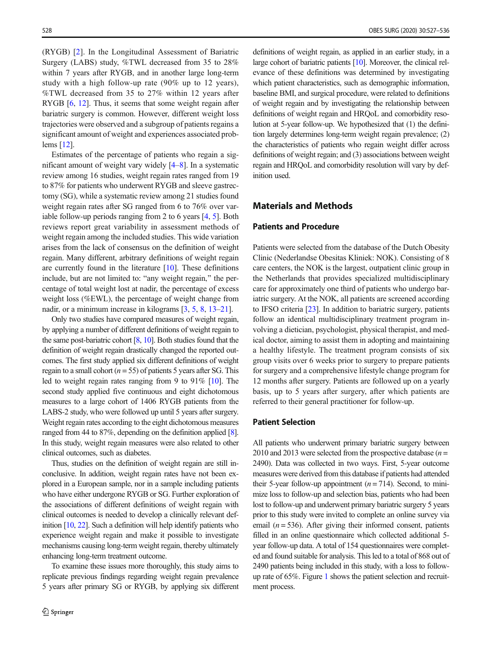(RYGB) [\[2](#page-8-0)]. In the Longitudinal Assessment of Bariatric Surgery (LABS) study, %TWL decreased from 35 to 28% within 7 years after RYGB, and in another large long-term study with a high follow-up rate (90% up to 12 years), %TWL decreased from 35 to 27% within 12 years after RYGB [\[6](#page-8-0), [12](#page-8-0)]. Thus, it seems that some weight regain after bariatric surgery is common. However, different weight loss trajectories were observed and a subgroup of patients regains a significant amount of weight and experiences associated problems [\[12\]](#page-8-0).

Estimates of the percentage of patients who regain a significant amount of weight vary widely [\[4](#page-8-0)–[8](#page-8-0)]. In a systematic review among 16 studies, weight regain rates ranged from 19 to 87% for patients who underwent RYGB and sleeve gastrectomy (SG), while a systematic review among 21 studies found weight regain rates after SG ranged from 6 to 76% over variable follow-up periods ranging from 2 to 6 years [\[4](#page-8-0), [5](#page-8-0)]. Both reviews report great variability in assessment methods of weight regain among the included studies. This wide variation arises from the lack of consensus on the definition of weight regain. Many different, arbitrary definitions of weight regain are currently found in the literature  $[10]$ . These definitions include, but are not limited to: "any weight regain," the percentage of total weight lost at nadir, the percentage of excess weight loss (%EWL), the percentage of weight change from nadir, or a minimum increase in kilograms [\[3](#page-8-0), [5](#page-8-0), [8](#page-8-0), [13](#page-8-0)–[21\]](#page-8-0).

Only two studies have compared measures of weight regain, by applying a number of different definitions of weight regain to the same post-bariatric cohort  $[8, 10]$  $[8, 10]$  $[8, 10]$  $[8, 10]$ . Both studies found that the definition of weight regain drastically changed the reported outcomes. The first study applied six different definitions of weight regain to a small cohort ( $n = 55$ ) of patients 5 years after SG. This led to weight regain rates ranging from 9 to 91% [\[10\]](#page-8-0). The second study applied five continuous and eight dichotomous measures to a large cohort of 1406 RYGB patients from the LABS-2 study, who were followed up until 5 years after surgery. Weight regain rates according to the eight dichotomous measures ranged from 44 to 87%, depending on the definition applied [\[8\]](#page-8-0). In this study, weight regain measures were also related to other clinical outcomes, such as diabetes.

Thus, studies on the definition of weight regain are still inconclusive. In addition, weight regain rates have not been explored in a European sample, nor in a sample including patients who have either undergone RYGB or SG. Further exploration of the associations of different definitions of weight regain with clinical outcomes is needed to develop a clinically relevant definition [\[10](#page-8-0), [22](#page-8-0)]. Such a definition will help identify patients who experience weight regain and make it possible to investigate mechanisms causing long-term weight regain, thereby ultimately enhancing long-term treatment outcome.

To examine these issues more thoroughly, this study aims to replicate previous findings regarding weight regain prevalence 5 years after primary SG or RYGB, by applying six different

definitions of weight regain, as applied in an earlier study, in a large cohort of bariatric patients [\[10](#page-8-0)]. Moreover, the clinical relevance of these definitions was determined by investigating which patient characteristics, such as demographic information, baseline BMI, and surgical procedure, were related to definitions of weight regain and by investigating the relationship between definitions of weight regain and HRQoL and comorbidity resolution at 5-year follow-up. We hypothesized that (1) the definition largely determines long-term weight regain prevalence; (2) the characteristics of patients who regain weight differ across definitions of weight regain; and (3) associations between weight regain and HRQoL and comorbidity resolution will vary by definition used.

#### Materials and Methods

#### Patients and Procedure

Patients were selected from the database of the Dutch Obesity Clinic (Nederlandse Obesitas Kliniek: NOK). Consisting of 8 care centers, the NOK is the largest, outpatient clinic group in the Netherlands that provides specialized multidisciplinary care for approximately one third of patients who undergo bariatric surgery. At the NOK, all patients are screened according to IFSO criteria [\[23\]](#page-9-0). In addition to bariatric surgery, patients follow an identical multidisciplinary treatment program involving a dietician, psychologist, physical therapist, and medical doctor, aiming to assist them in adopting and maintaining a healthy lifestyle. The treatment program consists of six group visits over 6 weeks prior to surgery to prepare patients for surgery and a comprehensive lifestyle change program for 12 months after surgery. Patients are followed up on a yearly basis, up to 5 years after surgery, after which patients are referred to their general practitioner for follow-up.

#### Patient Selection

All patients who underwent primary bariatric surgery between 2010 and 2013 were selected from the prospective database  $(n =$ 2490). Data was collected in two ways. First, 5-year outcome measures were derived from this database if patients had attended their 5-year follow-up appointment  $(n = 714)$ . Second, to minimize loss to follow-up and selection bias, patients who had been lost to follow-up and underwent primary bariatric surgery 5 years prior to this study were invited to complete an online survey via email ( $n = 536$ ). After giving their informed consent, patients filled in an online questionnaire which collected additional 5 year follow-up data. A total of 154 questionnaires were completed and found suitable for analysis. This led to a total of 868 out of 2490 patients being included in this study, with a loss to followup rate of 65%. Figure [1](#page-2-0) shows the patient selection and recruitment process.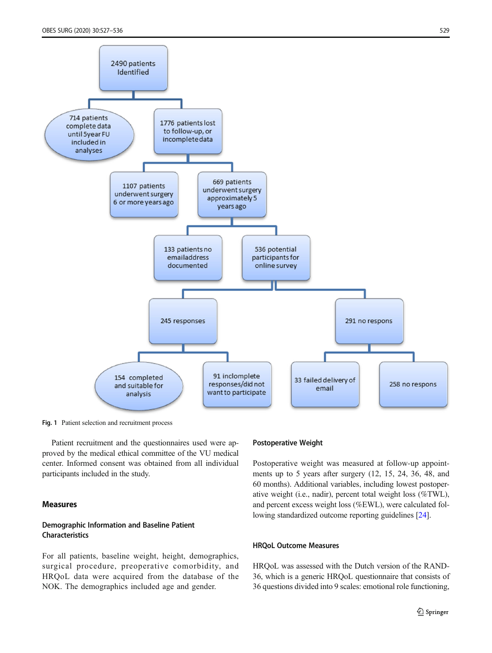<span id="page-2-0"></span>

Fig. 1 Patient selection and recruitment process

Patient recruitment and the questionnaires used were approved by the medical ethical committee of the VU medical center. Informed consent was obtained from all individual participants included in the study.

#### Measures

### Demographic Information and Baseline Patient Characteristics

For all patients, baseline weight, height, demographics, surgical procedure, preoperative comorbidity, and HRQoL data were acquired from the database of the NOK. The demographics included age and gender.

#### Postoperative Weight

Postoperative weight was measured at follow-up appointments up to 5 years after surgery (12, 15, 24, 36, 48, and 60 months). Additional variables, including lowest postoperative weight (i.e., nadir), percent total weight loss (%TWL), and percent excess weight loss (%EWL), were calculated following standardized outcome reporting guidelines [[24\]](#page-9-0).

#### HRQoL Outcome Measures

HRQoL was assessed with the Dutch version of the RAND-36, which is a generic HRQoL questionnaire that consists of 36 questions divided into 9 scales: emotional role functioning,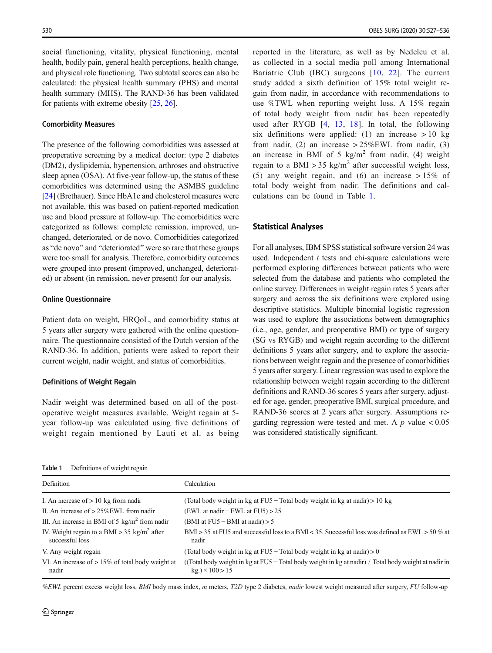social functioning, vitality, physical functioning, mental health, bodily pain, general health perceptions, health change, and physical role functioning. Two subtotal scores can also be calculated: the physical health summary (PHS) and mental health summary (MHS). The RAND-36 has been validated for patients with extreme obesity [[25](#page-9-0), [26](#page-9-0)].

#### Comorbidity Measures

The presence of the following comorbidities was assessed at preoperative screening by a medical doctor: type 2 diabetes (DM2), dyslipidemia, hypertension, arthroses and obstructive sleep apnea (OSA). At five-year follow-up, the status of these comorbidities was determined using the ASMBS guideline [\[24\]](#page-9-0) (Brethauer). Since HbA1c and cholesterol measures were not available, this was based on patient-reported medication use and blood pressure at follow-up. The comorbidities were categorized as follows: complete remission, improved, unchanged, deteriorated, or de novo. Comorbidities categorized as "de novo" and "deteriorated" were so rare that these groups were too small for analysis. Therefore, comorbidity outcomes were grouped into present (improved, unchanged, deteriorated) or absent (in remission, never present) for our analysis.

#### Online Questionnaire

Patient data on weight, HRQoL, and comorbidity status at 5 years after surgery were gathered with the online questionnaire. The questionnaire consisted of the Dutch version of the RAND-36. In addition, patients were asked to report their current weight, nadir weight, and status of comorbidities.

#### Definitions of Weight Regain

Nadir weight was determined based on all of the postoperative weight measures available. Weight regain at 5 year follow-up was calculated using five definitions of weight regain mentioned by Lauti et al. as being

reported in the literature, as well as by Nedelcu et al. as collected in a social media poll among International Bariatric Club (IBC) surgeons [\[10,](#page-8-0) [22\]](#page-8-0). The current study added a sixth definition of 15% total weight regain from nadir, in accordance with recommendations to use %TWL when reporting weight loss. A 15% regain of total body weight from nadir has been repeatedly used after RYGB [[4,](#page-8-0) [13](#page-8-0), [18\]](#page-8-0). In total, the following six definitions were applied: (1) an increase  $> 10$  kg from nadir, (2) an increase  $> 25\%$  EWL from nadir, (3) an increase in BMI of 5 kg/m<sup>2</sup> from nadir, (4) weight regain to a BMI > 35 kg/m<sup>2</sup> after successful weight loss, (5) any weight regain, and (6) an increase > 15% of total body weight from nadir. The definitions and calculations can be found in Table 1.

#### Statistical Analyses

For all analyses, IBM SPSS statistical software version 24 was used. Independent  $t$  tests and chi-square calculations were performed exploring differences between patients who were selected from the database and patients who completed the online survey. Differences in weight regain rates 5 years after surgery and across the six definitions were explored using descriptive statistics. Multiple binomial logistic regression was used to explore the associations between demographics (i.e., age, gender, and preoperative BMI) or type of surgery (SG vs RYGB) and weight regain according to the different definitions 5 years after surgery, and to explore the associations between weight regain and the presence of comorbidities 5 years after surgery. Linear regression was used to explore the relationship between weight regain according to the different definitions and RAND-36 scores 5 years after surgery, adjusted for age, gender, preoperative BMI, surgical procedure, and RAND-36 scores at 2 years after surgery. Assumptions regarding regression were tested and met. A  $p$  value  $< 0.05$ was considered statistically significant.

| Table 1 |  | Definitions of weight regain |  |
|---------|--|------------------------------|--|
|---------|--|------------------------------|--|

| Definition                                                                 | Calculation                                                                                                                  |
|----------------------------------------------------------------------------|------------------------------------------------------------------------------------------------------------------------------|
| I. An increase of $> 10$ kg from nadir                                     | (Total body weight in kg at FU5 – Total body weight in kg at nadir) > 10 kg                                                  |
| II. An increase of $> 25\%$ EWL from nadir                                 | (EWL at nadir $-$ EWL at FU5) $> 25$                                                                                         |
| III. An increase in BMI of 5 $\text{kg/m}^2$ from nadir                    | (BMI at $FU5 - BMI$ at nadir) > 5                                                                                            |
| IV. Weight regain to a BMI > 35 kg/m <sup>2</sup> after<br>successful loss | BMI > 35 at FU5 and successful loss to a BMI < 35. Successful loss was defined as EWL > 50 % at<br>nadir                     |
| V. Any weight regain                                                       | (Total body weight in kg at FU5 – Total body weight in kg at nadir) > 0                                                      |
| VI. An increase of $> 15\%$ of total body weight at<br>nadir               | ((Total body weight in kg at $FU5 - Total$ body weight in kg at nadir) / Total body weight at nadir in<br>$kg.$ ) × 100 > 15 |

%EWL percent excess weight loss, BMI body mass index, m meters, T2D type 2 diabetes, nadir lowest weight measured after surgery, FU follow-up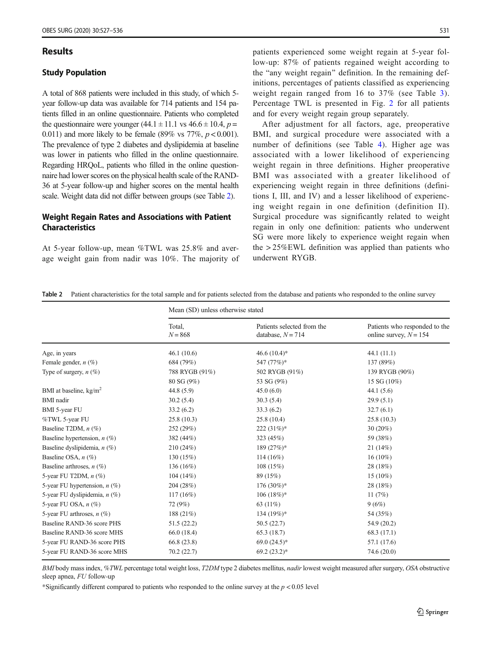#### Results

#### Study Population

A total of 868 patients were included in this study, of which 5 year follow-up data was available for 714 patients and 154 patients filled in an online questionnaire. Patients who completed the questionnaire were younger  $(44.1 \pm 11.1 \text{ vs } 46.6 \pm 10.4, p =$ 0.011) and more likely to be female (89% vs  $77\%, p < 0.001$ ). The prevalence of type 2 diabetes and dyslipidemia at baseline was lower in patients who filled in the online questionnaire. Regarding HRQoL, patients who filled in the online questionnaire had lower scores on the physical health scale of the RAND-36 at 5-year follow-up and higher scores on the mental health scale. Weight data did not differ between groups (see Table 2).

#### Weight Regain Rates and Associations with Patient Characteristics

At 5-year follow-up, mean %TWL was 25.8% and average weight gain from nadir was 10%. The majority of patients experienced some weight regain at 5-year follow-up: 87% of patients regained weight according to the "any weight regain" definition. In the remaining definitions, percentages of patients classified as experiencing weight regain ranged from 16 to 37% (see Table [3](#page-5-0)). Percentage TWL is presented in Fig. [2](#page-5-0) for all patients and for every weight regain group separately.

After adjustment for all factors, age, preoperative BMI, and surgical procedure were associated with a number of definitions (see Table [4\)](#page-6-0). Higher age was associated with a lower likelihood of experiencing weight regain in three definitions. Higher preoperative BMI was associated with a greater likelihood of experiencing weight regain in three definitions (definitions I, III, and IV) and a lesser likelihood of experiencing weight regain in one definition (definition II). Surgical procedure was significantly related to weight regain in only one definition: patients who underwent SG were more likely to experience weight regain when the > 25%EWL definition was applied than patients who underwent RYGB.

| <b>Table 2</b> Patient characteristics for the total sample and for patients selected from the database and patients who responded to the online survey |  |  |  |
|---------------------------------------------------------------------------------------------------------------------------------------------------------|--|--|--|
|                                                                                                                                                         |  |  |  |

|                                 | Mean (SD) unless otherwise stated |                                                   |                                                           |  |  |
|---------------------------------|-----------------------------------|---------------------------------------------------|-----------------------------------------------------------|--|--|
|                                 | Total.<br>$N = 868$               | Patients selected from the<br>database, $N = 714$ | Patients who responded to the<br>online survey, $N = 154$ |  |  |
| Age, in years                   | 46.1(10.6)                        | 46.6 $(10.4)$ *                                   | 44.1(11.1)                                                |  |  |
| Female gender, $n$ (%)          | 684 (79%)                         | 547 (77%)*                                        | 137 (89%)                                                 |  |  |
| Type of surgery, $n$ (%)        | 788 RYGB (91%)                    | 502 RYGB (91%)                                    | 139 RYGB (90%)                                            |  |  |
|                                 | 80 SG (9%)                        | 53 SG (9%)                                        | 15 SG (10%)                                               |  |  |
| BMI at baseline, $kg/m2$        | 44.8 (5.9)                        | 45.0(6.0)                                         | 44.1(5.6)                                                 |  |  |
| <b>BMI</b> nadir                | 30.2(5.4)                         | 30.3(5.4)                                         | 29.9(5.1)                                                 |  |  |
| <b>BMI</b> 5-year FU            | 33.2(6.2)                         | 33.3(6.2)                                         | 32.7(6.1)                                                 |  |  |
| %TWL 5-year FU                  | 25.8(10.3)                        | 25.8(10.4)                                        | 25.8(10.3)                                                |  |  |
| Baseline T2DM, $n$ (%)          | 252 (29%)                         | $222 (31\%)^*$                                    | $30(20\%)$                                                |  |  |
| Baseline hypertension, $n$ (%)  | 382 (44%)                         | 323 (45%)                                         | 59 (38%)                                                  |  |  |
| Baseline dyslipidemia, $n$ (%)  | 210(24%)                          | 189 (27%)*                                        | 21(14%)                                                   |  |  |
| Baseline OSA, $n$ (%)           | 130 (15%)                         | $114(16\%)$                                       | $16(10\%)$                                                |  |  |
| Baseline arthroses, $n$ (%)     | 136 (16%)                         | 108(15%)                                          | 28 (18%)                                                  |  |  |
| 5-year FU T2DM, $n$ $(\%)$      | 104(14%)                          | 89 (15%)                                          | $15(10\%)$                                                |  |  |
| 5-year FU hypertension, $n$ (%) | 204 (28%)                         | $176(30\%)*$                                      | 28 (18%)                                                  |  |  |
| 5-year FU dyslipidemia, n (%)   | $117(16\%)$                       | $106 (18\%)*$                                     | 11 $(7%)$                                                 |  |  |
| 5-year FU OSA, $n$ $(\%)$       | 72 (9%)                           | 63 (11%)                                          | 9(6%)                                                     |  |  |
| 5-year FU arthroses, $n$ (%)    | 188 (21%)                         | 134 $(19%)^*$                                     | 54 (35%)                                                  |  |  |
| Baseline RAND-36 score PHS      | 51.5(22.2)                        | 50.5(22.7)                                        | 54.9 (20.2)                                               |  |  |
| Baseline RAND-36 score MHS      | 66.0 (18.4)                       | 65.3 (18.7)                                       | 68.3(17.1)                                                |  |  |
| 5-year FU RAND-36 score PHS     | 66.8 (23.8)                       | 69.0 $(24.5)$ *                                   | 57.1 (17.6)                                               |  |  |
| 5-year FU RAND-36 score MHS     | 70.2(22.7)                        | $69.2(23.2)*$                                     | 74.6 (20.0)                                               |  |  |

BMI body mass index, %TWL percentage total weight loss, T2DM type 2 diabetes mellitus, nadir lowest weight measured after surgery, OSA obstructive sleep apnea, FU follow-up

\*Significantly different compared to patients who responded to the online survey at the  $p < 0.05$  level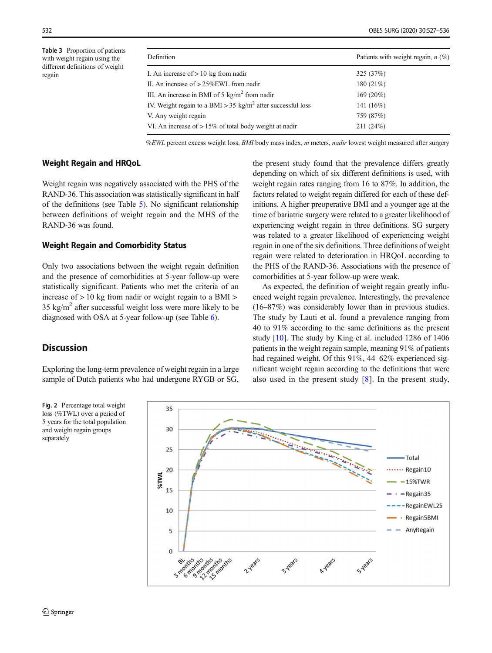<span id="page-5-0"></span>Table 3 Proportion of patients with weight regain using the different definitions of weight regain

| Definition                                                              | Patients with weight regain, $n$ (%) |
|-------------------------------------------------------------------------|--------------------------------------|
| I. An increase of $> 10$ kg from nadir                                  | 325(37%)                             |
| II. An increase of $> 25\%$ EWL from nadir                              | 180 (21%)                            |
| III. An increase in BMI of 5 $\text{kg/m}^2$ from nadir                 | 169 (20%)                            |
| IV. Weight regain to a BMI > 35 kg/m <sup>2</sup> after successful loss | 141 (16%)                            |
| V. Any weight regain                                                    | 759 (87%)                            |
| VI. An increase of $> 15\%$ of total body weight at nadir               | 211(24%)                             |

%EWL percent excess weight loss, BMI body mass index, m meters, nadir lowest weight measured after surgery

#### Weight Regain and HRQoL

Weight regain was negatively associated with the PHS of the RAND-36. This association was statistically significant in half of the definitions (see Table [5](#page-6-0)). No significant relationship between definitions of weight regain and the MHS of the RAND-36 was found.

#### Weight Regain and Comorbidity Status

Only two associations between the weight regain definition and the presence of comorbidities at 5-year follow-up were statistically significant. Patients who met the criteria of an increase of > 10 kg from nadir or weight regain to a BMI >  $35 \text{ kg/m}^2$  after successful weight loss were more likely to be diagnosed with OSA at 5-year follow-up (see Table [6\)](#page-7-0).

## the present study found that the prevalence differs greatly depending on which of six different definitions is used, with weight regain rates ranging from 16 to 87%. In addition, the factors related to weight regain differed for each of these definitions. A higher preoperative BMI and a younger age at the time of bariatric surgery were related to a greater likelihood of experiencing weight regain in three definitions. SG surgery was related to a greater likelihood of experiencing weight regain in one of the six definitions. Three definitions of weight regain were related to deterioration in HRQoL according to the PHS of the RAND-36. Associations with the presence of comorbidities at 5-year follow-up were weak.

As expected, the definition of weight regain greatly influenced weight regain prevalence. Interestingly, the prevalence (16–87%) was considerably lower than in previous studies. The study by Lauti et al. found a prevalence ranging from 40 to 91% according to the same definitions as the present study [[10](#page-8-0)]. The study by King et al. included 1286 of 1406 patients in the weight regain sample, meaning 91% of patients had regained weight. Of this 91%, 44–62% experienced significant weight regain according to the definitions that were also used in the present study [[8](#page-8-0)]. In the present study,

## **Discussion**

Exploring the long-term prevalence of weight regain in a large sample of Dutch patients who had undergone RYGB or SG,



Fig. 2 Percentage total weight loss (%TWL) over a period of 5 years for the total population and weight regain groups separately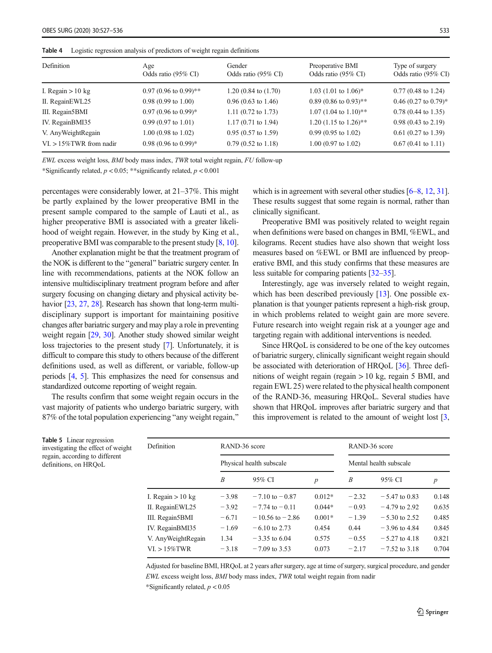| Definition                  | Age<br>Odds ratio (95% CI)       | Gender<br>Odds ratio (95% CI)   | Preoperative BMI<br>Odds ratio (95% CI) | Type of surgery<br>Odds ratio (95% CI) |
|-----------------------------|----------------------------------|---------------------------------|-----------------------------------------|----------------------------------------|
| I. Regain $> 10$ kg         | $0.97(0.96 \text{ to } 0.99)$ ** | $1.20(0.84 \text{ to } (1.70))$ | 1.03 (1.01 to $1.06$ )*                 | $0.77(0.48 \text{ to } 1.24)$          |
| II. RegainEWL25             | $0.98(0.99 \text{ to } 1.00)$    | $0.96(0.63 \text{ to } 1.46)$   | $0.89$ (0.86 to 0.93)**                 | $0.46$ (0.27 to 0.79)*                 |
| III. Regain5BMI             | $0.97(0.96 \text{ to } 0.99)^*$  | 1.11 $(0.72 \text{ to } 1.73)$  | $1.07$ (1.04 to 1.10)**                 | $0.78$ (0.44 to 1.35)                  |
| IV. RegainBMI35             | $0.99(0.97 \text{ to } 1.01)$    | $1.17(0.71 \text{ to } 1.94)$   | 1.20 (1.15 to 1.26)**                   | $0.98(0.43 \text{ to } 2.19)$          |
| V. Any Weight Regain        | $1.00(0.98 \text{ to } 1.02)$    | $0.95(0.57 \text{ to } 1.59)$   | $0.99(0.95 \text{ to } 1.02)$           | $0.61$ (0.27 to 1.39)                  |
| $VI. > 15\%$ TWR from nadir | $0.98(0.96 \text{ to } 0.99)^*$  | $0.79(0.52 \text{ to } 1.18)$   | $1.00$ (0.97 to 1.02)                   | $0.67(0.41 \text{ to } 1.11)$          |

<span id="page-6-0"></span>Table 4 Logistic regression analysis of predictors of weight regain definitions

EWL excess weight loss, BMI body mass index, TWR total weight regain, FU follow-up

\*Significantly related,  $p < 0.05$ ; \*\*significantly related,  $p < 0.001$ 

percentages were considerably lower, at 21–37%. This might be partly explained by the lower preoperative BMI in the present sample compared to the sample of Lauti et al., as higher preoperative BMI is associated with a greater likelihood of weight regain. However, in the study by King et al., preoperative BMI was comparable to the present study [\[8](#page-8-0), [10\]](#page-8-0).

Another explanation might be that the treatment program of the NOK is different to the "general" bariatric surgery center. In line with recommendations, patients at the NOK follow an intensive multidisciplinary treatment program before and after surgery focusing on changing dietary and physical activity be-havior [\[23,](#page-9-0) [27](#page-9-0), [28](#page-9-0)]. Research has shown that long-term multidisciplinary support is important for maintaining positive changes after bariatric surgery and may play a role in preventing weight regain [\[29](#page-9-0), [30\]](#page-9-0). Another study showed similar weight loss trajectories to the present study [[7\]](#page-8-0). Unfortunately, it is difficult to compare this study to others because of the different definitions used, as well as different, or variable, follow-up periods [\[4,](#page-8-0) [5\]](#page-8-0). This emphasizes the need for consensus and standardized outcome reporting of weight regain.

The results confirm that some weight regain occurs in the vast majority of patients who undergo bariatric surgery, with 87% of the total population experiencing "any weight regain,"

Table 5 Linear r investigating the regain, according definitions, on H

which is in agreement with several other studies [\[6](#page-8-0)–[8,](#page-8-0) [12](#page-8-0), [31\]](#page-9-0). These results suggest that some regain is normal, rather than clinically significant.

Preoperative BMI was positively related to weight regain when definitions were based on changes in BMI, %EWL, and kilograms. Recent studies have also shown that weight loss measures based on %EWL or BMI are influenced by preoperative BMI, and this study confirms that these measures are less suitable for comparing patients [\[32](#page-9-0)–[35\]](#page-9-0).

Interestingly, age was inversely related to weight regain, which has been described previously [[13](#page-8-0)]. One possible explanation is that younger patients represent a high-risk group, in which problems related to weight gain are more severe. Future research into weight regain risk at a younger age and targeting regain with additional interventions is needed.

Since HRQoL is considered to be one of the key outcomes of bariatric surgery, clinically significant weight regain should be associated with deterioration of HRQoL [\[36\]](#page-9-0). Three definitions of weight regain (regain  $> 10$  kg, regain 5 BMI, and regain EWL 25) were related to the physical health component of the RAND-36, measuring HRQoL. Several studies have shown that HRQoL improves after bariatric surgery and that this improvement is related to the amount of weight lost [[3,](#page-8-0)

| egression<br>effect of weight<br>to different<br>ROoL | Definition           | RAND-36 score<br>Physical health subscale |                           |                  | RAND-36 score<br>Mental health subscale |                 |                  |
|-------------------------------------------------------|----------------------|-------------------------------------------|---------------------------|------------------|-----------------------------------------|-----------------|------------------|
|                                                       |                      |                                           |                           |                  |                                         |                 |                  |
|                                                       |                      | B                                         | 95% CI                    | $\boldsymbol{p}$ | $\boldsymbol{B}$                        | 95% CI          | $\boldsymbol{p}$ |
|                                                       | I. Regain $> 10$ kg  | $-3.98$                                   | $-7.10 \text{ to } -0.87$ | $0.012*$         | $-2.32$                                 | $-5.47$ to 0.83 | 0.148            |
|                                                       | II. RegainEWL25      | $-3.92$                                   | $-7.74$ to $-0.11$        | $0.044*$         | $-0.93$                                 | $-4.79$ to 2.92 | 0.635            |
|                                                       | III. Regain5BMI      | $-6.71$                                   | $-10.56$ to $-2.86$       | $0.001*$         | $-1.39$                                 | $-5.30$ to 2.52 | 0.485            |
|                                                       | IV. RegainBMI35      | $-1.69$                                   | $-6.10$ to 2.73           | 0.454            | 0.44                                    | $-3.96$ to 4.84 | 0.845            |
|                                                       | V. Any Weight Regain | 1.34                                      | $-3.35$ to 6.04           | 0.575            | $-0.55$                                 | $-5.27$ to 4.18 | 0.821            |
|                                                       | $VI. > 15\%$ TWR     | $-3.18$                                   | $-7.09$ to 3.53           | 0.073            | $-2.17$                                 | $-7.52$ to 3.18 | 0.704            |
|                                                       |                      |                                           |                           |                  |                                         |                 |                  |

Adjusted for baseline BMI, HRQoL at 2 years after surgery, age at time of surgery, surgical procedure, and gender EWL excess weight loss, BMI body mass index, TWR total weight regain from nadir \*Significantly related,  $p < 0.05$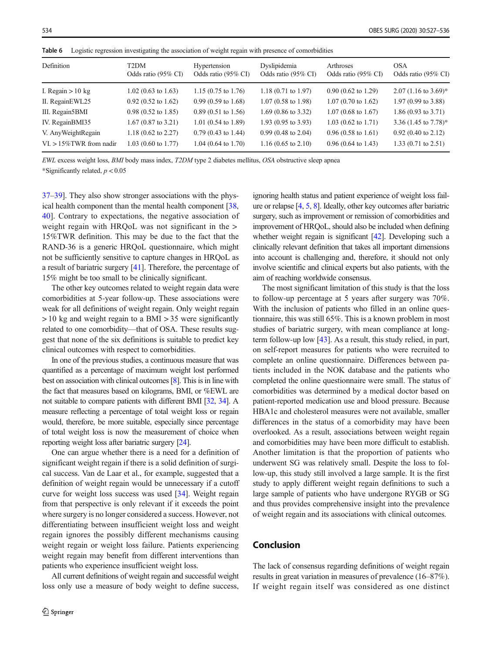| Definition                  | T2DM<br>Odds ratio (95% CI)   | Hypertension<br>Odds ratio (95% CI) | Dyslipidemia<br>Odds ratio (95% CI) | Arthroses<br>Odds ratio (95% CI) | <b>OSA</b><br>Odds ratio (95% CI) |
|-----------------------------|-------------------------------|-------------------------------------|-------------------------------------|----------------------------------|-----------------------------------|
| I. Regain $> 10$ kg         | $1.02(0.63 \text{ to } 1.63)$ | $1.15(0.75 \text{ to } 1.76)$       | $1.18(0.71 \text{ to } 1.97)$       | $0.90(0.62 \text{ to } 1.29)$    | $2.07$ (1.16 to 3.69)*            |
| II. RegainEWL25             | $0.92$ (0.52 to 1.62)         | $0.99(0.59 \text{ to } 1.68)$       | $1.07(0.58 \text{ to } 1.98)$       | $1.07(0.70 \text{ to } 1.62)$    | $1.97(0.99 \text{ to } 3.88)$     |
| III. Regain5BMI             | $0.98(0.52 \text{ to } 1.85)$ | $0.89(0.51 \text{ to } 1.56)$       | $1.69$ (0.86 to 3.32)               | $1.07(0.68 \text{ to } 1.67)$    | $1.86(0.93 \text{ to } 3.71)$     |
| IV. RegainBMI35             | $1.67(0.87 \text{ to } 3.21)$ | $1.01(0.54 \text{ to } 1.89)$       | $1.93(0.95 \text{ to } 3.93)$       | $1.03$ (0.62 to 1.71)            | 3.36 $(1.45 \text{ to } 7.78)^*$  |
| V. Any Weight Regain        | $1.18(0.62 \text{ to } 2.27)$ | $0.79(0.43 \text{ to } 1.44)$       | $0.99(0.48 \text{ to } 2.04)$       | $0.96(0.58 \text{ to } 1.61)$    | $0.92$ (0.40 to 2.12)             |
| $VI. > 15\%$ TWR from nadir | $1.03(0.60 \text{ to } 1.77)$ | $1.04$ (0.64 to 1.70)               | $1.16(0.65 \text{ to } 2.10)$       | $0.96(0.64 \text{ to } 1.43)$    | $1.33(0.71 \text{ to } 2.51)$     |

<span id="page-7-0"></span>Table 6 Logistic regression investigating the association of weight regain with presence of comorbidities

EWL excess weight loss, BMI body mass index, T2DM type 2 diabetes mellitus, OSA obstructive sleep apnea \*Significantly related,  $p < 0.05$ 

[37](#page-9-0)–[39](#page-9-0)]. They also show stronger associations with the physical health component than the mental health component [[38,](#page-9-0) [40](#page-9-0)]. Contrary to expectations, the negative association of weight regain with HRQoL was not significant in the  $>$ 15%TWR definition. This may be due to the fact that the RAND-36 is a generic HRQoL questionnaire, which might not be sufficiently sensitive to capture changes in HRQoL as a result of bariatric surgery [\[41](#page-9-0)]. Therefore, the percentage of 15% might be too small to be clinically significant.

The other key outcomes related to weight regain data were comorbidities at 5-year follow-up. These associations were weak for all definitions of weight regain. Only weight regain > 10 kg and weight regain to a BMI > 35 were significantly related to one comorbidity—that of OSA. These results suggest that none of the six definitions is suitable to predict key clinical outcomes with respect to comorbidities.

In one of the previous studies, a continuous measure that was quantified as a percentage of maximum weight lost performed best on association with clinical outcomes [\[8](#page-8-0)]. This is in line with the fact that measures based on kilograms, BMI, or %EWL are not suitable to compare patients with different BMI [\[32](#page-9-0), [34\]](#page-9-0). A measure reflecting a percentage of total weight loss or regain would, therefore, be more suitable, especially since percentage of total weight loss is now the measurement of choice when reporting weight loss after bariatric surgery [\[24](#page-9-0)].

One can argue whether there is a need for a definition of significant weight regain if there is a solid definition of surgical success. Van de Laar et al., for example, suggested that a definition of weight regain would be unnecessary if a cutoff curve for weight loss success was used [[34\]](#page-9-0). Weight regain from that perspective is only relevant if it exceeds the point where surgery is no longer considered a success. However, not differentiating between insufficient weight loss and weight regain ignores the possibly different mechanisms causing weight regain or weight loss failure. Patients experiencing weight regain may benefit from different interventions than patients who experience insufficient weight loss.

All current definitions of weight regain and successful weight loss only use a measure of body weight to define success,

ignoring health status and patient experience of weight loss failure or relapse [\[4,](#page-8-0) [5,](#page-8-0) [8](#page-8-0)]. Ideally, other key outcomes after bariatric surgery, such as improvement or remission of comorbidities and improvement of HRQoL, should also be included when defining whether weight regain is significant [\[42\]](#page-9-0). Developing such a clinically relevant definition that takes all important dimensions into account is challenging and, therefore, it should not only involve scientific and clinical experts but also patients, with the aim of reaching worldwide consensus.

The most significant limitation of this study is that the loss to follow-up percentage at 5 years after surgery was 70%. With the inclusion of patients who filled in an online questionnaire, this was still 65%. This is a known problem in most studies of bariatric surgery, with mean compliance at longterm follow-up low [[43\]](#page-9-0). As a result, this study relied, in part, on self-report measures for patients who were recruited to complete an online questionnaire. Differences between patients included in the NOK database and the patients who completed the online questionnaire were small. The status of comorbidities was determined by a medical doctor based on patient-reported medication use and blood pressure. Because HBA1c and cholesterol measures were not available, smaller differences in the status of a comorbidity may have been overlooked. As a result, associations between weight regain and comorbidities may have been more difficult to establish. Another limitation is that the proportion of patients who underwent SG was relatively small. Despite the loss to follow-up, this study still involved a large sample. It is the first study to apply different weight regain definitions to such a large sample of patients who have undergone RYGB or SG and thus provides comprehensive insight into the prevalence of weight regain and its associations with clinical outcomes.

## Conclusion

The lack of consensus regarding definitions of weight regain results in great variation in measures of prevalence (16–87%). If weight regain itself was considered as one distinct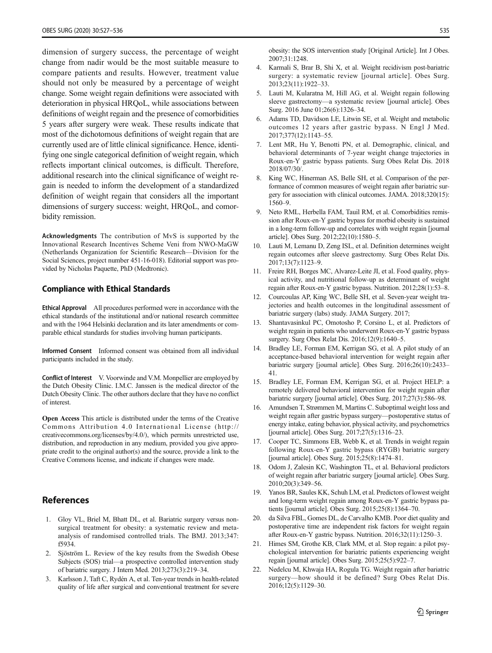<span id="page-8-0"></span>dimension of surgery success, the percentage of weight change from nadir would be the most suitable measure to compare patients and results. However, treatment value should not only be measured by a percentage of weight change. Some weight regain definitions were associated with deterioration in physical HRQoL, while associations between definitions of weight regain and the presence of comorbidities 5 years after surgery were weak. These results indicate that most of the dichotomous definitions of weight regain that are currently used are of little clinical significance. Hence, identifying one single categorical definition of weight regain, which reflects important clinical outcomes, is difficult. Therefore, additional research into the clinical significance of weight regain is needed to inform the development of a standardized definition of weight regain that considers all the important dimensions of surgery success: weight, HRQoL, and comorbidity remission.

Acknowledgments The contribution of MvS is supported by the Innovational Research Incentives Scheme Veni from NWO-MaGW (Netherlands Organization for Scientific Research—Division for the Social Sciences, project number 451-16-018). Editorial support was provided by Nicholas Paquette, PhD (Medtronic).

#### Compliance with Ethical Standards

Ethical Approval All procedures performed were in accordance with the ethical standards of the institutional and/or national research committee and with the 1964 Helsinki declaration and its later amendments or comparable ethical standards for studies involving human participants.

Informed Consent Informed consent was obtained from all individual participants included in the study.

Conflict of Interest V. Voorwinde and V.M. Monpellier are employed by the Dutch Obesity Clinic. I.M.C. Janssen is the medical director of the Dutch Obesity Clinic. The other authors declare that they have no conflict of interest.

Open Access This article is distributed under the terms of the Creative Commons Attribution 4.0 International License (http:// creativecommons.org/licenses/by/4.0/), which permits unrestricted use, distribution, and reproduction in any medium, provided you give appropriate credit to the original author(s) and the source, provide a link to the Creative Commons license, and indicate if changes were made.

## **References**

- 1. Gloy VL, Briel M, Bhatt DL, et al. Bariatric surgery versus nonsurgical treatment for obesity: a systematic review and metaanalysis of randomised controlled trials. The BMJ. 2013;347: f5934.
- 2. Sjöström L. Review of the key results from the Swedish Obese Subjects (SOS) trial—a prospective controlled intervention study of bariatric surgery. J Intern Med. 2013;273(3):219–34.
- 3. Karlsson J, Taft C, Rydén A, et al. Ten-year trends in health-related quality of life after surgical and conventional treatment for severe

obesity: the SOS intervention study [Original Article]. Int J Obes. 2007;31:1248.

- 4. Karmali S, Brar B, Shi X, et al. Weight recidivism post-bariatric surgery: a systematic review [journal article]. Obes Surg. 2013;23(11):1922–33.
- 5. Lauti M, Kularatna M, Hill AG, et al. Weight regain following sleeve gastrectomy—a systematic review [journal article]. Obes Surg. 2016 June 01;26(6):1326–34.
- 6. Adams TD, Davidson LE, Litwin SE, et al. Weight and metabolic outcomes 12 years after gastric bypass. N Engl J Med. 2017;377(12):1143–55.
- 7. Lent MR, Hu Y, Benotti PN, et al. Demographic, clinical, and behavioral determinants of 7-year weight change trajectories in Roux-en-Y gastric bypass patients. Surg Obes Relat Dis. 2018 2018/07/30/.
- 8. King WC, Hinerman AS, Belle SH, et al. Comparison of the performance of common measures of weight regain after bariatric surgery for association with clinical outcomes. JAMA. 2018;320(15): 1560–9.
- 9. Neto RML, Herbella FAM, Tauil RM, et al. Comorbidities remission after Roux-en-Y gastric bypass for morbid obesity is sustained in a long-term follow-up and correlates with weight regain [journal article]. Obes Surg. 2012;22(10):1580–5.
- 10. Lauti M, Lemanu D, Zeng ISL, et al. Definition determines weight regain outcomes after sleeve gastrectomy. Surg Obes Relat Dis. 2017;13(7):1123–9.
- 11. Freire RH, Borges MC, Alvarez-Leite JI, et al. Food quality, physical activity, and nutritional follow-up as determinant of weight regain after Roux-en-Y gastric bypass. Nutrition. 2012;28(1):53–8.
- 12. Courcoulas AP, King WC, Belle SH, et al. Seven-year weight trajectories and health outcomes in the longitudinal assessment of bariatric surgery (labs) study. JAMA Surgery. 2017;
- 13. Shantavasinkul PC, Omotosho P, Corsino L, et al. Predictors of weight regain in patients who underwent Roux-en-Y gastric bypass surgery. Surg Obes Relat Dis. 2016;12(9):1640–5.
- 14. Bradley LE, Forman EM, Kerrigan SG, et al. A pilot study of an acceptance-based behavioral intervention for weight regain after bariatric surgery [journal article]. Obes Surg. 2016;26(10):2433– 41.
- 15. Bradley LE, Forman EM, Kerrigan SG, et al. Project HELP: a remotely delivered behavioral intervention for weight regain after bariatric surgery [journal article]. Obes Surg. 2017;27(3):586–98.
- 16. Amundsen T, Strømmen M, Martins C. Suboptimal weight loss and weight regain after gastric bypass surgery—postoperative status of energy intake, eating behavior, physical activity, and psychometrics [journal article]. Obes Surg. 2017;27(5):1316–23.
- 17. Cooper TC, Simmons EB, Webb K, et al. Trends in weight regain following Roux-en-Y gastric bypass (RYGB) bariatric surgery [journal article]. Obes Surg. 2015;25(8):1474–81.
- 18. Odom J, Zalesin KC, Washington TL, et al. Behavioral predictors of weight regain after bariatric surgery [journal article]. Obes Surg. 2010;20(3):349–56.
- 19. Yanos BR, Saules KK, Schuh LM, et al. Predictors of lowest weight and long-term weight regain among Roux-en-Y gastric bypass patients [journal article]. Obes Surg. 2015;25(8):1364–70.
- 20. da Silva FBL, Gomes DL, de Carvalho KMB. Poor diet quality and postoperative time are independent risk factors for weight regain after Roux-en-Y gastric bypass. Nutrition. 2016;32(11):1250–3.
- 21. Himes SM, Grothe KB, Clark MM, et al. Stop regain: a pilot psychological intervention for bariatric patients experiencing weight regain [journal article]. Obes Surg. 2015;25(5):922–7.
- 22. Nedelcu M, Khwaja HA, Rogula TG. Weight regain after bariatric surgery—how should it be defined? Surg Obes Relat Dis. 2016;12(5):1129–30.